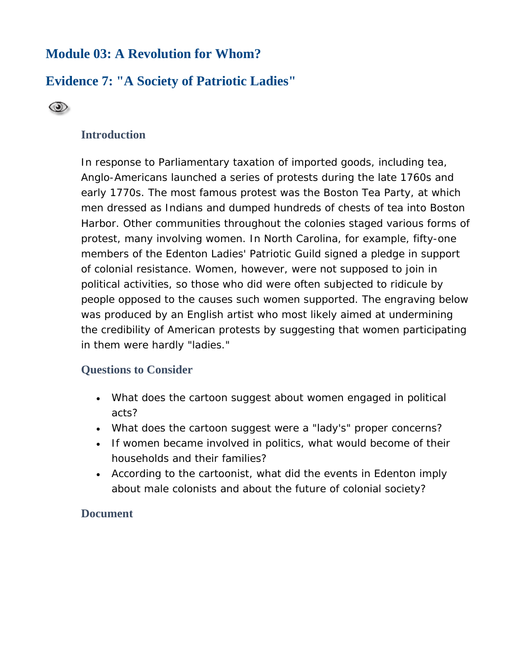# **Module 03: A Revolution for Whom?**

# **Evidence 7: "A Society of Patriotic Ladies"**



## **Introduction**

In response to Parliamentary taxation of imported goods, including tea, Anglo-Americans launched a series of protests during the late 1760s and early 1770s. The most famous protest was the Boston Tea Party, at which men dressed as Indians and dumped hundreds of chests of tea into Boston Harbor. Other communities throughout the colonies staged various forms of protest, many involving women. In North Carolina, for example, fifty-one members of the Edenton Ladies' Patriotic Guild signed a pledge in support of colonial resistance. Women, however, were not supposed to join in political activities, so those who did were often subjected to ridicule by people opposed to the causes such women supported. The engraving below was produced by an English artist who most likely aimed at undermining the credibility of American protests by suggesting that women participating in them were hardly "ladies."

### **Questions to Consider**

- What does the cartoon suggest about women engaged in political acts?
- What does the cartoon suggest were a "lady's" proper concerns?
- If women became involved in politics, what would become of their households and their families?
- According to the cartoonist, what did the events in Edenton imply about male colonists and about the future of colonial society?

### **Document**